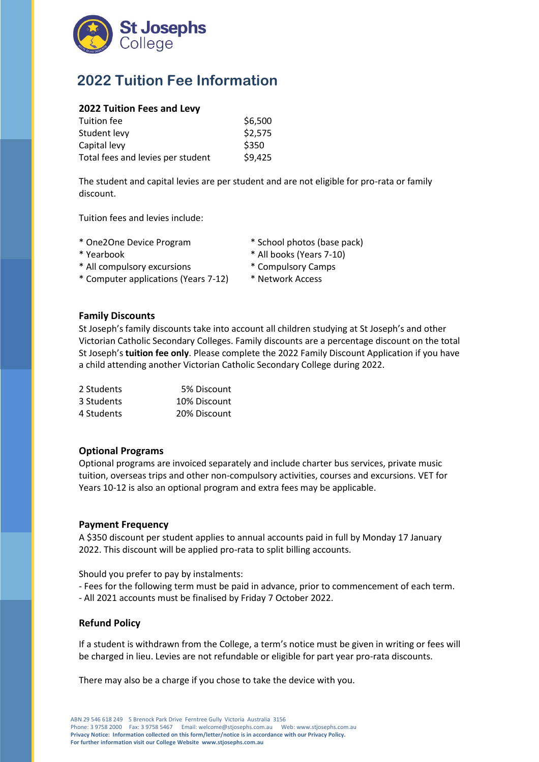

# **2022 Tuition Fee Information**

### **2022 Tuition Fees and Levy**

| \$6,500 |
|---------|
| \$2,575 |
| \$350   |
| \$9,425 |
|         |

The student and capital levies are per student and are not eligible for pro-rata or family discount.

Tuition fees and levies include:

- 
- 
- \* All compulsory excursions \* Compulsory Camps
- \* Computer applications (Years 7-12) \* Network Access
- \* One2One Device Program \* School photos (base pack)
- \* Yearbook \* All books (Years 7-10)
	-
	-

#### **Family Discounts**

St Joseph's family discounts take into account all children studying at St Joseph's and other Victorian Catholic Secondary Colleges. Family discounts are a percentage discount on the total St Joseph's **tuition fee only**. Please complete the 2022 Family Discount Application if you have a child attending another Victorian Catholic Secondary College during 2022.

| 2 Students | 5% Discount  |
|------------|--------------|
| 3 Students | 10% Discount |
| 4 Students | 20% Discount |

## **Optional Programs**

Optional programs are invoiced separately and include charter bus services, private music tuition, overseas trips and other non-compulsory activities, courses and excursions. VET for Years 10-12 is also an optional program and extra fees may be applicable.

#### **Payment Frequency**

A \$350 discount per student applies to annual accounts paid in full by Monday 17 January 2022. This discount will be applied pro-rata to split billing accounts.

Should you prefer to pay by instalments:

- Fees for the following term must be paid in advance, prior to commencement of each term. - All 2021 accounts must be finalised by Friday 7 October 2022.

#### **Refund Policy**

If a student is withdrawn from the College, a term's notice must be given in writing or fees will be charged in lieu. Levies are not refundable or eligible for part year pro-rata discounts.

There may also be a charge if you chose to take the device with you.